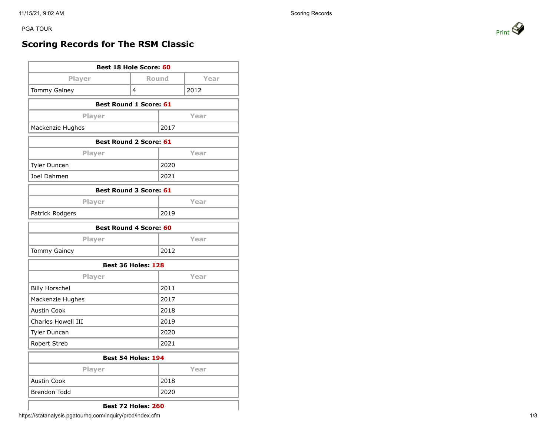PGA TOUR PRINT AND RESERVE TO A REPORT OF THE PRINT OF THE PRINT OF PRINT AND RESERVE TO A PRINT OF PRINT AND RESERVE TO A PRINT OF PRINT OF PRINT OF THE STATE OF THE PRINT OF THE STATE OF THE STATE OF THE STATE OF THE STA

## **Scoring Records for The RSM Classic**

| Best 18 Hole Score: 60        |       |      |      |  |  |
|-------------------------------|-------|------|------|--|--|
| Player                        | Round |      | Year |  |  |
| <b>Tommy Gainey</b>           | 4     |      | 2012 |  |  |
| <b>Best Round 1 Score: 61</b> |       |      |      |  |  |
| Player                        |       | Year |      |  |  |
| Mackenzie Hughes              |       | 2017 |      |  |  |
| <b>Best Round 2 Score: 61</b> |       |      |      |  |  |
| Player                        |       | Year |      |  |  |
| Tyler Duncan                  |       | 2020 |      |  |  |
| Joel Dahmen                   |       | 2021 |      |  |  |
| <b>Best Round 3 Score: 61</b> |       |      |      |  |  |
| Player                        |       |      | Year |  |  |
| Patrick Rodgers               |       | 2019 |      |  |  |
| <b>Best Round 4 Score: 60</b> |       |      |      |  |  |
| Player                        |       |      | Year |  |  |
| <b>Tommy Gainey</b>           |       | 2012 |      |  |  |
| <b>Best 36 Holes: 128</b>     |       |      |      |  |  |
| Player                        | Year  |      |      |  |  |
| <b>Billy Horschel</b>         | 2011  |      |      |  |  |
| Mackenzie Hughes              | 2017  |      |      |  |  |
| <b>Austin Cook</b>            | 2018  |      |      |  |  |
| Charles Howell III            |       | 2019 |      |  |  |
| Tyler Duncan                  | 2020  |      |      |  |  |
| Robert Streb                  | 2021  |      |      |  |  |
| Best 54 Holes: 194            |       |      |      |  |  |
| Player                        |       |      | Year |  |  |
| <b>Austin Cook</b>            |       | 2018 |      |  |  |
| Brendon Todd                  | 2020  |      |      |  |  |



**Best 72 Holes: 260**

https://statanalysis.pgatourhq.com/inquiry/prod/index.cfm 1/3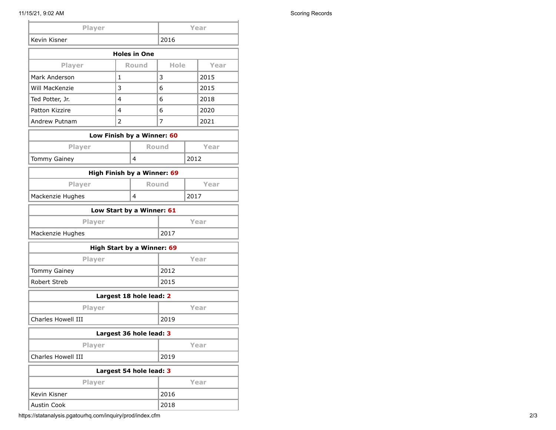| Player                     |                            | Year           |                             |      |      |      |  |
|----------------------------|----------------------------|----------------|-----------------------------|------|------|------|--|
| Kevin Kisner               |                            | 2016           |                             |      |      |      |  |
|                            | <b>Holes in One</b>        |                |                             |      |      |      |  |
| Player                     |                            | <b>Round</b>   |                             | Hole |      | Year |  |
| Mark Anderson              |                            | 1              |                             | 3    |      | 2015 |  |
| Will MacKenzie             |                            | 3              |                             | 6    |      | 2015 |  |
| Ted Potter, Jr.            |                            | 4              |                             | 6    |      | 2018 |  |
| Patton Kizzire             |                            | 4              |                             | 6    |      | 2020 |  |
| Andrew Putnam              |                            | $\overline{2}$ |                             | 7    |      | 2021 |  |
|                            | Low Finish by a Winner: 60 |                |                             |      |      |      |  |
|                            | Player                     |                | <b>Round</b>                |      |      | Year |  |
| <b>Tommy Gainey</b>        |                            | 4              |                             | 2012 |      |      |  |
|                            |                            |                | High Finish by a Winner: 69 |      |      |      |  |
|                            | Player                     | <b>Round</b>   |                             |      |      | Year |  |
| Mackenzie Hughes           |                            | 4              |                             | 2017 |      |      |  |
| Low Start by a Winner: 61  |                            |                |                             |      |      |      |  |
| Player                     |                            |                | Year                        |      |      |      |  |
| Mackenzie Hughes           |                            |                | 2017                        |      |      |      |  |
| High Start by a Winner: 69 |                            |                |                             |      |      |      |  |
| Player                     |                            |                | Year                        |      |      |      |  |
| <b>Tommy Gainey</b>        |                            |                | 2012                        |      |      |      |  |
| Robert Streb               |                            |                | 2015                        |      |      |      |  |
| Largest 18 hole lead: 2    |                            |                |                             |      |      |      |  |
| Player                     |                            |                | Year                        |      |      |      |  |
| Charles Howell III         |                            | 2019           |                             |      |      |      |  |
| Largest 36 hole lead: 3    |                            |                |                             |      |      |      |  |
| Player                     |                            |                | Year                        |      |      |      |  |
| Charles Howell III         |                            |                | 2019                        |      |      |      |  |
| Largest 54 hole lead: 3    |                            |                |                             |      |      |      |  |
|                            | Player                     |                |                             |      | Year |      |  |
| Kevin Kisner               |                            | 2016           |                             |      |      |      |  |
| <b>Austin Cook</b>         |                            |                | 2018                        |      |      |      |  |

https://statanalysis.pgatourhq.com/inquiry/prod/index.cfm 2/3